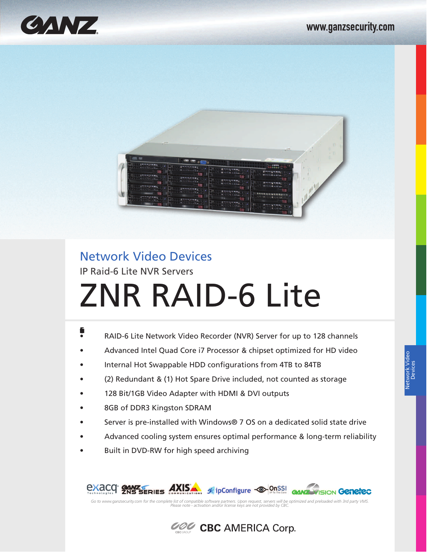



# Network Video Devices

IP Raid-6 Lite NVR Servers

# ZNR RAID-6 Lite

- **:Featurs** • RAID-6 Lite Network Video Recorder (NVR) Server for up to 128 channels
- Advanced Intel Quad Core i7 Processor & chipset optimized for HD video
- Internal Hot Swappable HDD configurations from 4TB to 84TB
- (2) Redundant & (1) Hot Spare Drive included, not counted as storage
- 128 Bit/1GB Video Adapter with HDMI & DVI outputs
- 8GB of DDR3 Kingston SDRAM
- Server is pre-installed with Windows® 7 OS on a dedicated solid state drive
- Advanced cooling system ensures optimal performance & long-term reliability
- Built in DVD-RW for high speed archiving



Go to www.ganzsecurity.com for the complete list of compatible software partners. Upon request, servers will be optimized and preloaded with 3rd party VMS.<br>Please note - activation and/or license keys are not provided by C